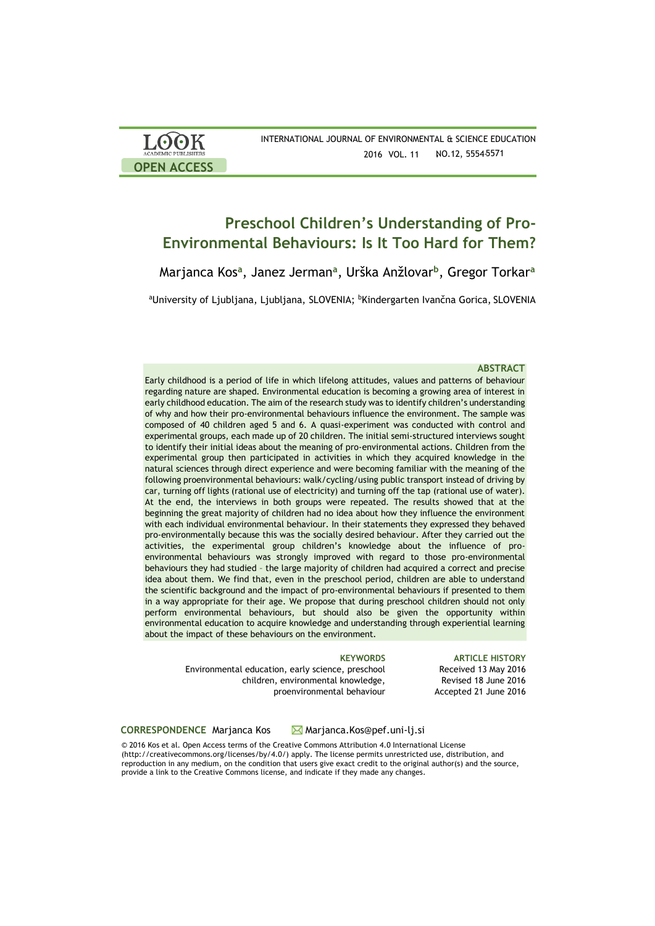| LOOK<br><b>ACADEMIC PUBLISHERS</b> | INTERNATIONAL IO |
|------------------------------------|------------------|
| <b>OPEN ACCESS</b>                 |                  |

# **Preschool Children's Understanding of Pro-Environmental Behaviours: Is It Too Hard for Them?**

Marjanca Kos**<sup>a</sup>** , Janez Jerman**<sup>a</sup>** , Urška Anžlovar**<sup>b</sup>** , Gregor Torkar**<sup>a</sup>**

aUniversity of Ljubljana, Ljubljana, SLOVENIA; <sup>b</sup>Kindergarten Ivančna Gorica, SLOVENIA

### **ABSTRACT**

Early childhood is a period of life in which lifelong attitudes, values and patterns of behaviour regarding nature are shaped. Environmental education is becoming a growing area of interest in early childhood education. The aim of the research study was to identify children's understanding of why and how their pro-environmental behaviours influence the environment. The sample was composed of 40 children aged 5 and 6. A quasi-experiment was conducted with control and experimental groups, each made up of 20 children. The initial semi-structured interviews sought to identify their initial ideas about the meaning of pro-environmental actions. Children from the experimental group then participated in activities in which they acquired knowledge in the natural sciences through direct experience and were becoming familiar with the meaning of the following proenvironmental behaviours: walk/cycling/using public transport instead of driving by car, turning off lights (rational use of electricity) and turning off the tap (rational use of water). At the end, the interviews in both groups were repeated. The results showed that at the beginning the great majority of children had no idea about how they influence the environment with each individual environmental behaviour. In their statements they expressed they behaved pro-environmentally because this was the socially desired behaviour. After they carried out the activities, the experimental group children's knowledge about the influence of proenvironmental behaviours was strongly improved with regard to those pro-environmental behaviours they had studied – the large majority of children had acquired a correct and precise idea about them. We find that, even in the preschool period, children are able to understand the scientific background and the impact of pro-environmental behaviours if presented to them in a way appropriate for their age. We propose that during preschool children should not only perform environmental behaviours, but should also be given the opportunity within environmental education to acquire knowledge and understanding through experiential learning about the impact of these behaviours on the environment.

Environmental education, early science, preschool children, environmental knowledge, proenvironmental behaviour

**KEYWORDS ARTICLE HISTORY**  Received 13 May 2016 Revised 18 June 2016 Accepted 21 June 2016

### **CORRESPONDENCE** Marjanca Kos Marjanca.Kos@pef.uni-lj.si

© 2016 Kos et al. Open Access terms of the Creative Commons Attribution 4.0 International License (http://creativecommons.org/licenses/by/4.0/) apply. The license permits unrestricted use, distribution, and reproduction in any medium, on the condition that users give exact credit to the original author(s) and the source, provide a link to the Creative Commons license, and indicate if they made any changes.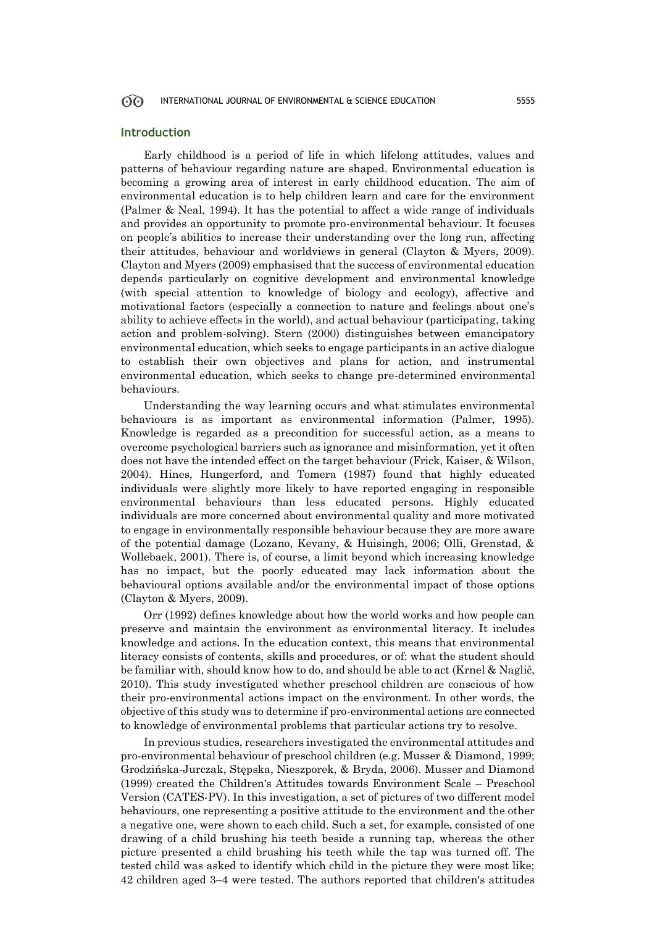### **Introduction**

Early childhood is a period of life in which lifelong attitudes, values and patterns of behaviour regarding nature are shaped. Environmental education is becoming a growing area of interest in early childhood education. The aim of environmental education is to help children learn and care for the environment (Palmer & Neal, 1994). It has the potential to affect a wide range of individuals and provides an opportunity to promote pro-environmental behaviour. It focuses on people's abilities to increase their understanding over the long run, affecting their attitudes, behaviour and worldviews in general (Clayton & Myers, 2009). Clayton and Myers (2009) emphasised that the success of environmental education depends particularly on cognitive development and environmental knowledge (with special attention to knowledge of biology and ecology), affective and motivational factors (especially a connection to nature and feelings about one's ability to achieve effects in the world), and actual behaviour (participating, taking action and problem-solving). Stern (2000) distinguishes between emancipatory environmental education, which seeks to engage participants in an active dialogue to establish their own objectives and plans for action, and instrumental environmental education, which seeks to change pre-determined environmental behaviours.

Understanding the way learning occurs and what stimulates environmental behaviours is as important as environmental information (Palmer, 1995). Knowledge is regarded as a precondition for successful action, as a means to overcome psychological barriers such as ignorance and misinformation, yet it often does not have the intended effect on the target behaviour (Frick, Kaiser, & Wilson, 2004). Hines, Hungerford, and Tomera (1987) found that highly educated individuals were slightly more likely to have reported engaging in responsible environmental behaviours than less educated persons. Highly educated individuals are more concerned about environmental quality and more motivated to engage in environmentally responsible behaviour because they are more aware of the potential damage (Lozano, Kevany, & Huisingh, 2006; Olli, Grenstad, & Wollebaek, 2001). There is, of course, a limit beyond which increasing knowledge has no impact, but the poorly educated may lack information about the behavioural options available and/or the environmental impact of those options (Clayton & Myers, 2009).

Orr (1992) defines knowledge about how the world works and how people can preserve and maintain the environment as environmental literacy. It includes knowledge and actions. In the education context, this means that environmental literacy consists of contents, skills and procedures, or of: what the student should be familiar with, should know how to do, and should be able to act (Krnel & Naglič, 2010). This study investigated whether preschool children are conscious of how their pro-environmental actions impact on the environment. In other words, the objective of this study was to determine if pro-environmental actions are connected to knowledge of environmental problems that particular actions try to resolve.

In previous studies, researchers investigated the environmental attitudes and pro-environmental behaviour of preschool children (e.g. Musser & Diamond, 1999; Grodzińska-Jurczak, Stępska, Nieszporek, & Bryda, 2006). Musser and Diamond (1999) created the Children's Attitudes towards Environment Scale – Preschool Version (CATES-PV). In this investigation, a set of pictures of two different model behaviours, one representing a positive attitude to the environment and the other a negative one, were shown to each child. Such a set, for example, consisted of one drawing of a child brushing his teeth beside a running tap, whereas the other picture presented a child brushing his teeth while the tap was turned off. The tested child was asked to identify which child in the picture they were most like; 42 children aged 3–4 were tested. The authors reported that children's attitudes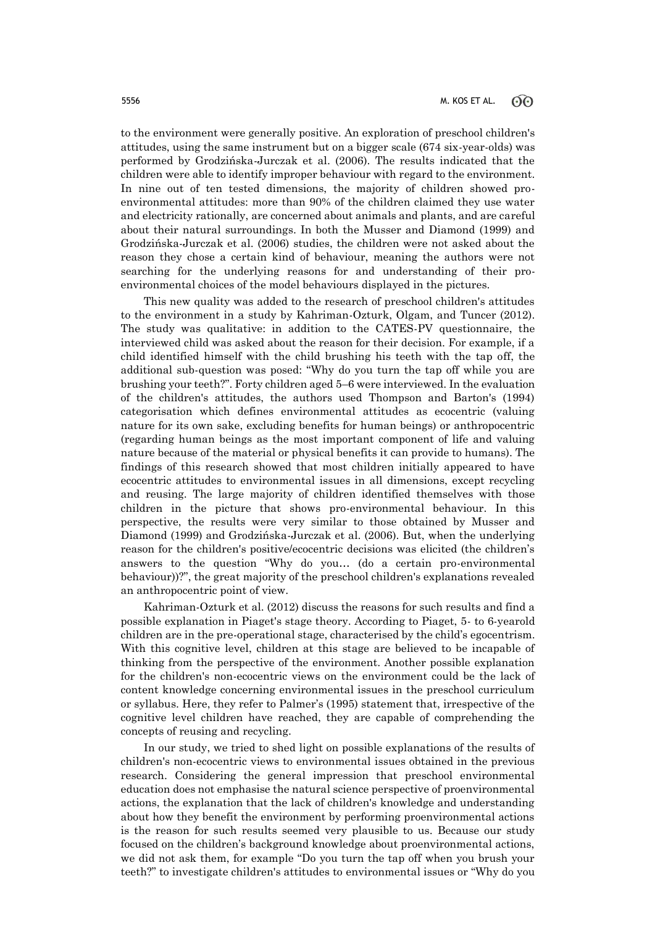to the environment were generally positive. An exploration of preschool children's attitudes, using the same instrument but on a bigger scale (674 six-year-olds) was performed by Grodzińska-Jurczak et al. (2006). The results indicated that the children were able to identify improper behaviour with regard to the environment. In nine out of ten tested dimensions, the majority of children showed proenvironmental attitudes: more than 90% of the children claimed they use water and electricity rationally, are concerned about animals and plants, and are careful about their natural surroundings. In both the Musser and Diamond (1999) and Grodzińska-Jurczak et al. (2006) studies, the children were not asked about the reason they chose a certain kind of behaviour, meaning the authors were not searching for the underlying reasons for and understanding of their proenvironmental choices of the model behaviours displayed in the pictures.

This new quality was added to the research of preschool children's attitudes to the environment in a study by Kahriman-Ozturk, Olgam, and Tuncer (2012). The study was qualitative: in addition to the CATES-PV questionnaire, the interviewed child was asked about the reason for their decision. For example, if a child identified himself with the child brushing his teeth with the tap off, the additional sub-question was posed: "Why do you turn the tap off while you are brushing your teeth?". Forty children aged 5–6 were interviewed. In the evaluation of the children's attitudes, the authors used Thompson and Barton's (1994) categorisation which defines environmental attitudes as ecocentric (valuing nature for its own sake, excluding benefits for human beings) or anthropocentric (regarding human beings as the most important component of life and valuing nature because of the material or physical benefits it can provide to humans). The findings of this research showed that most children initially appeared to have ecocentric attitudes to environmental issues in all dimensions, except recycling and reusing. The large majority of children identified themselves with those children in the picture that shows pro-environmental behaviour. In this perspective, the results were very similar to those obtained by Musser and Diamond (1999) and Grodzińska-Jurczak et al. (2006). But, when the underlying reason for the children's positive/ecocentric decisions was elicited (the children's answers to the question "Why do you… (do a certain pro-environmental behaviour))?", the great majority of the preschool children's explanations revealed an anthropocentric point of view.

Kahriman-Ozturk et al. (2012) discuss the reasons for such results and find a possible explanation in Piaget's stage theory. According to Piaget, 5- to 6-yearold children are in the pre-operational stage, characterised by the child's egocentrism. With this cognitive level, children at this stage are believed to be incapable of thinking from the perspective of the environment. Another possible explanation for the children's non-ecocentric views on the environment could be the lack of content knowledge concerning environmental issues in the preschool curriculum or syllabus. Here, they refer to Palmer's (1995) statement that, irrespective of the cognitive level children have reached, they are capable of comprehending the concepts of reusing and recycling.

In our study, we tried to shed light on possible explanations of the results of children's non-ecocentric views to environmental issues obtained in the previous research. Considering the general impression that preschool environmental education does not emphasise the natural science perspective of proenvironmental actions, the explanation that the lack of children's knowledge and understanding about how they benefit the environment by performing proenvironmental actions is the reason for such results seemed very plausible to us. Because our study focused on the children's background knowledge about proenvironmental actions, we did not ask them, for example "Do you turn the tap off when you brush your teeth?" to investigate children's attitudes to environmental issues or "Why do you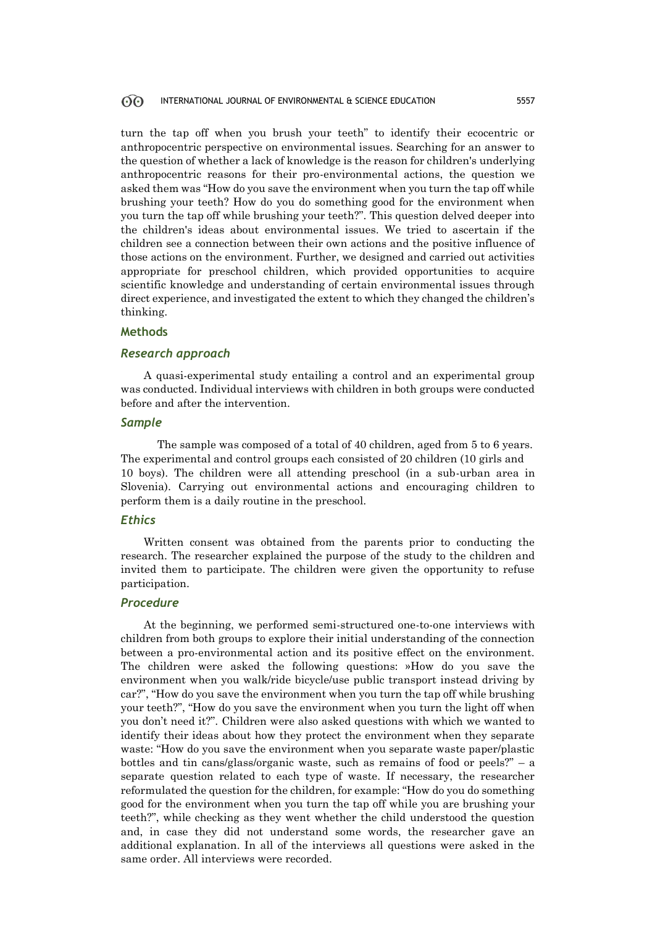turn the tap off when you brush your teeth" to identify their ecocentric or anthropocentric perspective on environmental issues. Searching for an answer to the question of whether a lack of knowledge is the reason for children's underlying anthropocentric reasons for their pro-environmental actions, the question we asked them was "How do you save the environment when you turn the tap off while brushing your teeth? How do you do something good for the environment when you turn the tap off while brushing your teeth?". This question delved deeper into the children's ideas about environmental issues. We tried to ascertain if the children see a connection between their own actions and the positive influence of those actions on the environment. Further, we designed and carried out activities appropriate for preschool children, which provided opportunities to acquire scientific knowledge and understanding of certain environmental issues through direct experience, and investigated the extent to which they changed the children's thinking.

### **Methods**

### *Research approach*

A quasi-experimental study entailing a control and an experimental group was conducted. Individual interviews with children in both groups were conducted before and after the intervention.

### *Sample*

The sample was composed of a total of 40 children, aged from 5 to 6 years. The experimental and control groups each consisted of 20 children (10 girls and 10 boys). The children were all attending preschool (in a sub-urban area in Slovenia). Carrying out environmental actions and encouraging children to perform them is a daily routine in the preschool.

### *Ethics*

Written consent was obtained from the parents prior to conducting the research. The researcher explained the purpose of the study to the children and invited them to participate. The children were given the opportunity to refuse participation.

### *Procedure*

At the beginning, we performed semi-structured one-to-one interviews with children from both groups to explore their initial understanding of the connection between a pro-environmental action and its positive effect on the environment. The children were asked the following questions: »How do you save the environment when you walk/ride bicycle/use public transport instead driving by car?", "How do you save the environment when you turn the tap off while brushing your teeth?", "How do you save the environment when you turn the light off when you don't need it?". Children were also asked questions with which we wanted to identify their ideas about how they protect the environment when they separate waste: "How do you save the environment when you separate waste paper/plastic bottles and tin cans/glass/organic waste, such as remains of food or peels?" – a separate question related to each type of waste. If necessary, the researcher reformulated the question for the children, for example: "How do you do something good for the environment when you turn the tap off while you are brushing your teeth?", while checking as they went whether the child understood the question and, in case they did not understand some words, the researcher gave an additional explanation. In all of the interviews all questions were asked in the same order. All interviews were recorded.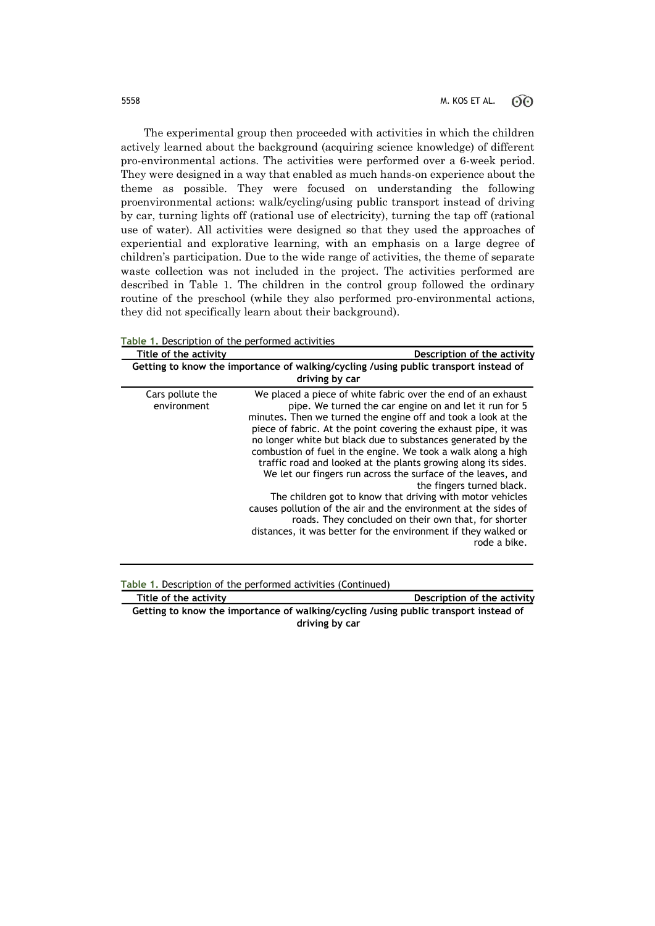The experimental group then proceeded with activities in which the children actively learned about the background (acquiring science knowledge) of different pro-environmental actions. The activities were performed over a 6-week period. They were designed in a way that enabled as much hands-on experience about the theme as possible. They were focused on understanding the following proenvironmental actions: walk/cycling/using public transport instead of driving by car, turning lights off (rational use of electricity), turning the tap off (rational use of water). All activities were designed so that they used the approaches of experiential and explorative learning, with an emphasis on a large degree of children's participation. Due to the wide range of activities, the theme of separate waste collection was not included in the project. The activities performed are described in Table 1. The children in the control group followed the ordinary routine of the preschool (while they also performed pro-environmental actions, they did not specifically learn about their background).

| Title of the activity           | Description of the activity                                                                                                                                                                                                                                                                                                                                                                                                                                                                                                                                                                                                                                                                                                                                                                                                          |
|---------------------------------|--------------------------------------------------------------------------------------------------------------------------------------------------------------------------------------------------------------------------------------------------------------------------------------------------------------------------------------------------------------------------------------------------------------------------------------------------------------------------------------------------------------------------------------------------------------------------------------------------------------------------------------------------------------------------------------------------------------------------------------------------------------------------------------------------------------------------------------|
|                                 |                                                                                                                                                                                                                                                                                                                                                                                                                                                                                                                                                                                                                                                                                                                                                                                                                                      |
|                                 | Getting to know the importance of walking/cycling /using public transport instead of                                                                                                                                                                                                                                                                                                                                                                                                                                                                                                                                                                                                                                                                                                                                                 |
|                                 | driving by car                                                                                                                                                                                                                                                                                                                                                                                                                                                                                                                                                                                                                                                                                                                                                                                                                       |
| Cars pollute the<br>environment | We placed a piece of white fabric over the end of an exhaust<br>pipe. We turned the car engine on and let it run for 5<br>minutes. Then we turned the engine off and took a look at the<br>piece of fabric. At the point covering the exhaust pipe, it was<br>no longer white but black due to substances generated by the<br>combustion of fuel in the engine. We took a walk along a high<br>traffic road and looked at the plants growing along its sides.<br>We let our fingers run across the surface of the leaves, and<br>the fingers turned black.<br>The children got to know that driving with motor vehicles<br>causes pollution of the air and the environment at the sides of<br>roads. They concluded on their own that, for shorter<br>distances, it was better for the environment if they walked or<br>rode a bike. |

**Table 1.** Description of the performed activities

**Table 1.** Description of the performed activities (Continued)

**Title of the activity**   $\qquad \qquad$  **Description of the activity Getting to know the importance of walking/cycling /using public transport instead of driving by car**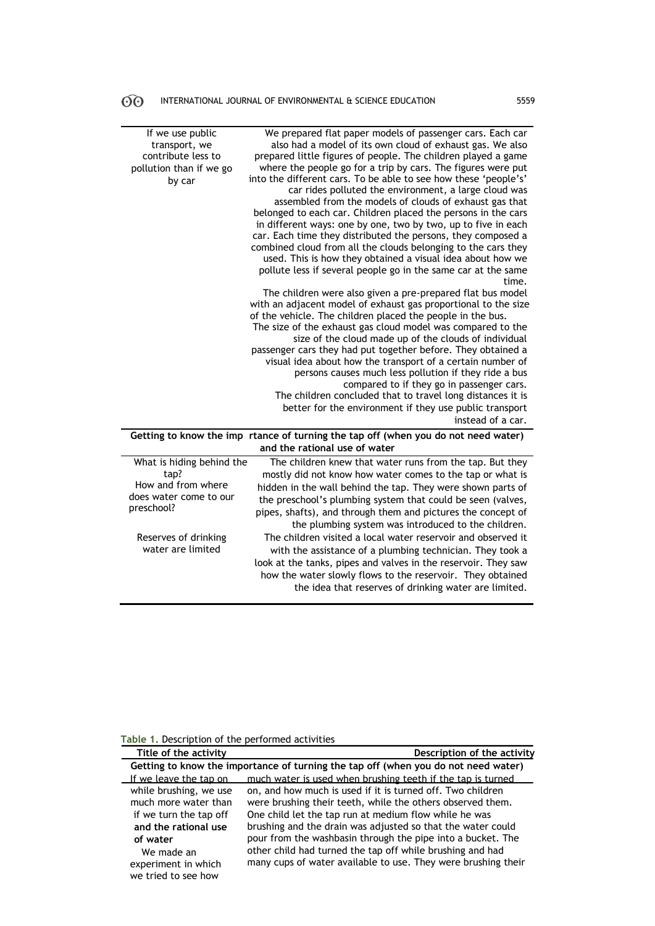| If we use public<br>transport, we<br>contribute less to<br>pollution than if we go<br>by car    | We prepared flat paper models of passenger cars. Each car<br>also had a model of its own cloud of exhaust gas. We also<br>prepared little figures of people. The children played a game<br>where the people go for a trip by cars. The figures were put<br>into the different cars. To be able to see how these 'people's'<br>car rides polluted the environment, a large cloud was<br>assembled from the models of clouds of exhaust gas that<br>belonged to each car. Children placed the persons in the cars<br>in different ways: one by one, two by two, up to five in each<br>car. Each time they distributed the persons, they composed a<br>combined cloud from all the clouds belonging to the cars they<br>used. This is how they obtained a visual idea about how we<br>pollute less if several people go in the same car at the same<br>time.<br>The children were also given a pre-prepared flat bus model<br>with an adjacent model of exhaust gas proportional to the size<br>of the vehicle. The children placed the people in the bus.<br>The size of the exhaust gas cloud model was compared to the<br>size of the cloud made up of the clouds of individual<br>passenger cars they had put together before. They obtained a<br>visual idea about how the transport of a certain number of<br>persons causes much less pollution if they ride a bus<br>compared to if they go in passenger cars.<br>The children concluded that to travel long distances it is<br>better for the environment if they use public transport<br>instead of a car. |
|-------------------------------------------------------------------------------------------------|-------------------------------------------------------------------------------------------------------------------------------------------------------------------------------------------------------------------------------------------------------------------------------------------------------------------------------------------------------------------------------------------------------------------------------------------------------------------------------------------------------------------------------------------------------------------------------------------------------------------------------------------------------------------------------------------------------------------------------------------------------------------------------------------------------------------------------------------------------------------------------------------------------------------------------------------------------------------------------------------------------------------------------------------------------------------------------------------------------------------------------------------------------------------------------------------------------------------------------------------------------------------------------------------------------------------------------------------------------------------------------------------------------------------------------------------------------------------------------------------------------------------------------------------------------------------|
|                                                                                                 | Getting to know the imp rtance of turning the tap off (when you do not need water)<br>and the rational use of water                                                                                                                                                                                                                                                                                                                                                                                                                                                                                                                                                                                                                                                                                                                                                                                                                                                                                                                                                                                                                                                                                                                                                                                                                                                                                                                                                                                                                                               |
|                                                                                                 |                                                                                                                                                                                                                                                                                                                                                                                                                                                                                                                                                                                                                                                                                                                                                                                                                                                                                                                                                                                                                                                                                                                                                                                                                                                                                                                                                                                                                                                                                                                                                                   |
| What is hiding behind the<br>tap?<br>How and from where<br>does water come to our<br>preschool? | The children knew that water runs from the tap. But they<br>mostly did not know how water comes to the tap or what is<br>hidden in the wall behind the tap. They were shown parts of<br>the preschool's plumbing system that could be seen (valves,<br>pipes, shafts), and through them and pictures the concept of<br>the plumbing system was introduced to the children.                                                                                                                                                                                                                                                                                                                                                                                                                                                                                                                                                                                                                                                                                                                                                                                                                                                                                                                                                                                                                                                                                                                                                                                        |
| Reserves of drinking<br>water are limited                                                       | The children visited a local water reservoir and observed it<br>with the assistance of a plumbing technician. They took a<br>look at the tanks, pipes and valves in the reservoir. They saw<br>how the water slowly flows to the reservoir. They obtained<br>the idea that reserves of drinking water are limited.                                                                                                                                                                                                                                                                                                                                                                                                                                                                                                                                                                                                                                                                                                                                                                                                                                                                                                                                                                                                                                                                                                                                                                                                                                                |

## **Table 1.** Description of the performed activities

| Title of the activity  | Description of the activity                                                        |
|------------------------|------------------------------------------------------------------------------------|
|                        | Getting to know the importance of turning the tap off (when you do not need water) |
| If we leave the tap on | much water is used when brushing teeth if the tap is turned                        |
| while brushing, we use | on, and how much is used if it is turned off. Two children                         |
| much more water than   | were brushing their teeth, while the others observed them.                         |
| if we turn the tap off | One child let the tap run at medium flow while he was                              |
| and the rational use   | brushing and the drain was adjusted so that the water could                        |
| of water               | pour from the washbasin through the pipe into a bucket. The                        |
| We made an             | other child had turned the tap off while brushing and had                          |
| experiment in which    | many cups of water available to use. They were brushing their                      |
| we tried to see how    |                                                                                    |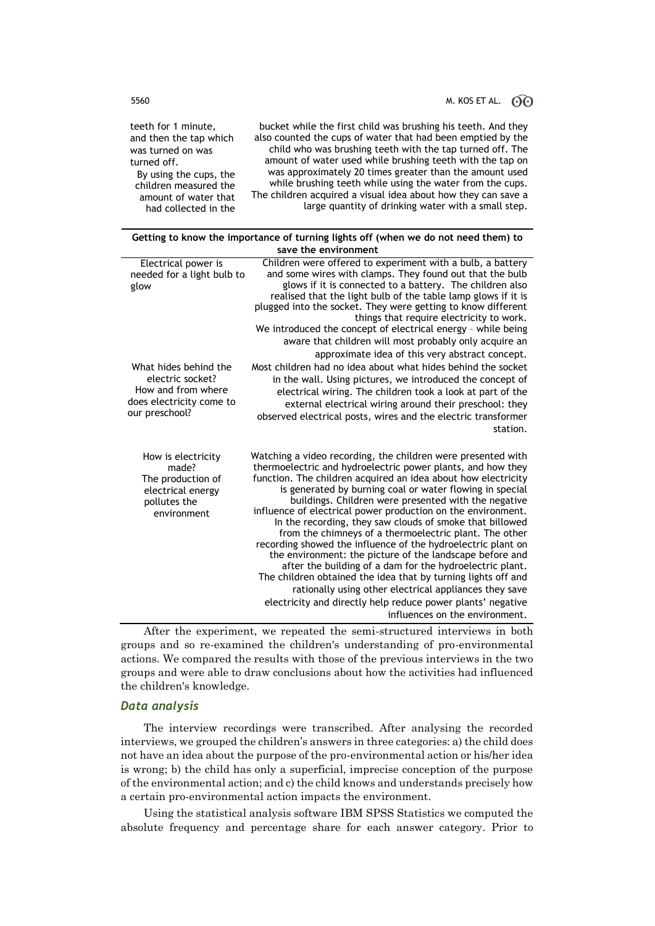## 5560 M. KOS ET AL.  $\odot$   $\odot$

bucket while the first child was brushing his teeth. And they also counted the cups of water that had been emptied by the child who was brushing teeth with the tap turned off. The amount of water used while brushing teeth with the tap on was approximately 20 times greater than the amount used while brushing teeth while using the water from the cups. The children acquired a visual idea about how they can save a large quantity of drinking water with a small step.

teeth for 1 minute, and then the tap which was turned on was turned off. By using the cups, the children measured the amount of water that had collected in the

|                                                                                                               | Getting to know the importance of turning lights off (when we do not need them) to                                                                                                                                                                                                                                                                                                                                                                                                                                                                                                                                                                                                                                                                                                                                                                                                                                         |  |  |  |  |  |
|---------------------------------------------------------------------------------------------------------------|----------------------------------------------------------------------------------------------------------------------------------------------------------------------------------------------------------------------------------------------------------------------------------------------------------------------------------------------------------------------------------------------------------------------------------------------------------------------------------------------------------------------------------------------------------------------------------------------------------------------------------------------------------------------------------------------------------------------------------------------------------------------------------------------------------------------------------------------------------------------------------------------------------------------------|--|--|--|--|--|
|                                                                                                               | save the environment                                                                                                                                                                                                                                                                                                                                                                                                                                                                                                                                                                                                                                                                                                                                                                                                                                                                                                       |  |  |  |  |  |
| Electrical power is<br>needed for a light bulb to<br>glow                                                     | Children were offered to experiment with a bulb, a battery<br>and some wires with clamps. They found out that the bulb<br>glows if it is connected to a battery. The children also<br>realised that the light bulb of the table lamp glows if it is<br>plugged into the socket. They were getting to know different<br>things that require electricity to work.<br>We introduced the concept of electrical energy - while being<br>aware that children will most probably only acquire an<br>approximate idea of this very abstract concept.                                                                                                                                                                                                                                                                                                                                                                               |  |  |  |  |  |
| What hides behind the<br>electric socket?<br>How and from where<br>does electricity come to<br>our preschool? | Most children had no idea about what hides behind the socket<br>in the wall. Using pictures, we introduced the concept of<br>electrical wiring. The children took a look at part of the<br>external electrical wiring around their preschool: they<br>observed electrical posts, wires and the electric transformer<br>station.                                                                                                                                                                                                                                                                                                                                                                                                                                                                                                                                                                                            |  |  |  |  |  |
| How is electricity<br>made?<br>The production of<br>electrical energy<br>pollutes the<br>environment          | Watching a video recording, the children were presented with<br>thermoelectric and hydroelectric power plants, and how they<br>function. The children acquired an idea about how electricity<br>is generated by burning coal or water flowing in special<br>buildings. Children were presented with the negative<br>influence of electrical power production on the environment.<br>In the recording, they saw clouds of smoke that billowed<br>from the chimneys of a thermoelectric plant. The other<br>recording showed the influence of the hydroelectric plant on<br>the environment: the picture of the landscape before and<br>after the building of a dam for the hydroelectric plant.<br>The children obtained the idea that by turning lights off and<br>rationally using other electrical appliances they save<br>electricity and directly help reduce power plants' negative<br>influences on the environment. |  |  |  |  |  |

After the experiment, we repeated the semi-structured interviews in both groups and so re-examined the children's understanding of pro-environmental actions. We compared the results with those of the previous interviews in the two groups and were able to draw conclusions about how the activities had influenced the children's knowledge.

### *Data analysis*

The interview recordings were transcribed. After analysing the recorded interviews, we grouped the children's answers in three categories: a) the child does not have an idea about the purpose of the pro-environmental action or his/her idea is wrong; b) the child has only a superficial, imprecise conception of the purpose of the environmental action; and c) the child knows and understands precisely how a certain pro-environmental action impacts the environment.

Using the statistical analysis software IBM SPSS Statistics we computed the absolute frequency and percentage share for each answer category. Prior to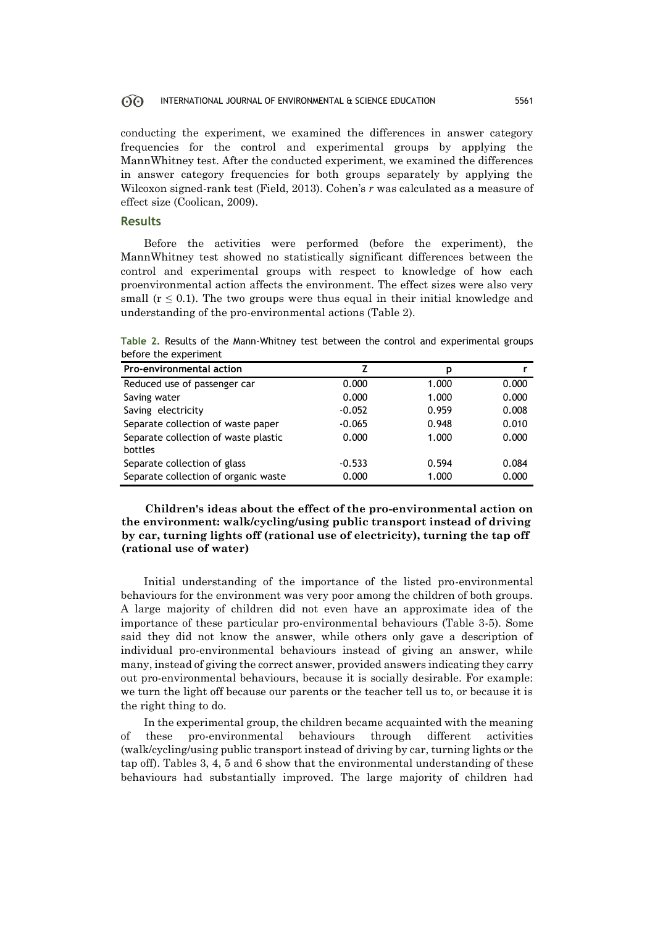conducting the experiment, we examined the differences in answer category frequencies for the control and experimental groups by applying the MannWhitney test. After the conducted experiment, we examined the differences in answer category frequencies for both groups separately by applying the Wilcoxon signed-rank test (Field, 2013). Cohen's *r* was calculated as a measure of effect size (Coolican, 2009).

### **Results**

Before the activities were performed (before the experiment), the MannWhitney test showed no statistically significant differences between the control and experimental groups with respect to knowledge of how each proenvironmental action affects the environment. The effect sizes were also very small  $(r \leq 0.1)$ . The two groups were thus equal in their initial knowledge and understanding of the pro-environmental actions (Table 2).

|  |                       |  |  |  |  | Table 2. Results of the Mann-Whitney test between the control and experimental groups |  |
|--|-----------------------|--|--|--|--|---------------------------------------------------------------------------------------|--|
|  | before the experiment |  |  |  |  |                                                                                       |  |

| Pro-environmental action             |          | р     |       |
|--------------------------------------|----------|-------|-------|
| Reduced use of passenger car         | 0.000    | 1.000 | 0.000 |
| Saving water                         | 0.000    | 1.000 | 0.000 |
| Saving electricity                   | $-0.052$ | 0.959 | 0.008 |
| Separate collection of waste paper   | $-0.065$ | 0.948 | 0.010 |
| Separate collection of waste plastic | 0.000    | 1.000 | 0.000 |
| bottles                              |          |       |       |
| Separate collection of glass         | $-0.533$ | 0.594 | 0.084 |
| Separate collection of organic waste | 0.000    | 1.000 | 0.000 |

**Children's ideas about the effect of the pro-environmental action on the environment: walk/cycling/using public transport instead of driving by car, turning lights off (rational use of electricity), turning the tap off (rational use of water)** 

Initial understanding of the importance of the listed pro-environmental behaviours for the environment was very poor among the children of both groups. A large majority of children did not even have an approximate idea of the importance of these particular pro-environmental behaviours (Table 3-5). Some said they did not know the answer, while others only gave a description of individual pro-environmental behaviours instead of giving an answer, while many, instead of giving the correct answer, provided answers indicating they carry out pro-environmental behaviours, because it is socially desirable. For example: we turn the light off because our parents or the teacher tell us to, or because it is the right thing to do.

In the experimental group, the children became acquainted with the meaning of these pro-environmental behaviours through different activities (walk/cycling/using public transport instead of driving by car, turning lights or the tap off). Tables 3, 4, 5 and 6 show that the environmental understanding of these behaviours had substantially improved. The large majority of children had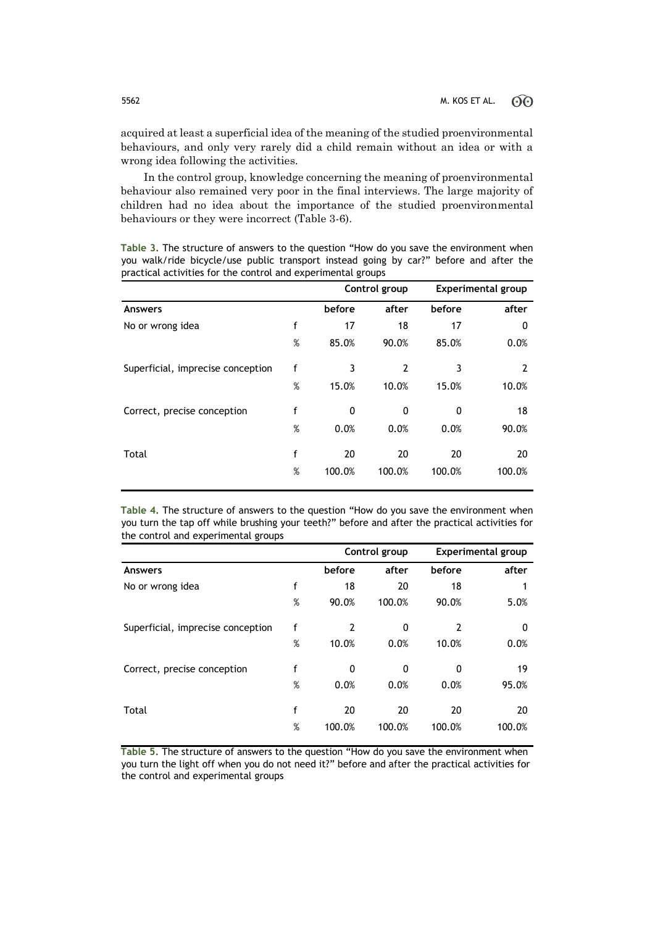acquired at least a superficial idea of the meaning of the studied proenvironmental behaviours, and only very rarely did a child remain without an idea or with a wrong idea following the activities.

In the control group, knowledge concerning the meaning of proenvironmental behaviour also remained very poor in the final interviews. The large majority of children had no idea about the importance of the studied proenvironmental behaviours or they were incorrect (Table 3-6).

**Table 3.** The structure of answers to the question "How do you save the environment when you walk/ride bicycle/use public transport instead going by car?" before and after the practical activities for the control and experimental groups

|                                   |      |        | Control group |        | <b>Experimental group</b> |
|-----------------------------------|------|--------|---------------|--------|---------------------------|
| <b>Answers</b>                    |      | before | after         | before | after                     |
| No or wrong idea                  | f    | 17     | 18            | 17     | 0                         |
|                                   | $\%$ | 85.0%  | 90.0%         | 85.0%  | 0.0%                      |
| Superficial, imprecise conception | f    | 3      | 2             | 3      | 2                         |
|                                   | $\%$ | 15.0%  | 10.0%         | 15.0%  | 10.0%                     |
| Correct, precise conception       | f    | 0      | 0             | 0      | 18                        |
|                                   | %    | 0.0%   | 0.0%          | 0.0%   | 90.0%                     |
| Total                             | f    | 20     | 20            | 20     | 20                        |
|                                   | %    | 100.0% | 100.0%        | 100.0% | 100.0%                    |

**Table 4.** The structure of answers to the question "How do you save the environment when you turn the tap off while brushing your teeth?" before and after the practical activities for the control and experimental groups

|                                   |   |        | Control group | <b>Experimental group</b> |        |  |
|-----------------------------------|---|--------|---------------|---------------------------|--------|--|
| <b>Answers</b>                    |   | before | after         | before                    | after  |  |
| No or wrong idea                  | f | 18     | 20            | 18                        |        |  |
|                                   | % | 90.0%  | 100.0%        | 90.0%                     | 5.0%   |  |
| Superficial, imprecise conception | f | 2      | 0             | $\overline{2}$            | 0      |  |
|                                   | % | 10.0%  | 0.0%          | 10.0%                     | 0.0%   |  |
| Correct, precise conception       | f | 0      | 0             | 0                         | 19     |  |
|                                   | % | 0.0%   | 0.0%          | 0.0%                      | 95.0%  |  |
| Total                             | f | 20     | 20            | 20                        | 20     |  |
|                                   | % | 100.0% | 100.0%        | 100.0%                    | 100.0% |  |

**Table 5.** The structure of answers to the question "How do you save the environment when you turn the light off when you do not need it?" before and after the practical activities for the control and experimental groups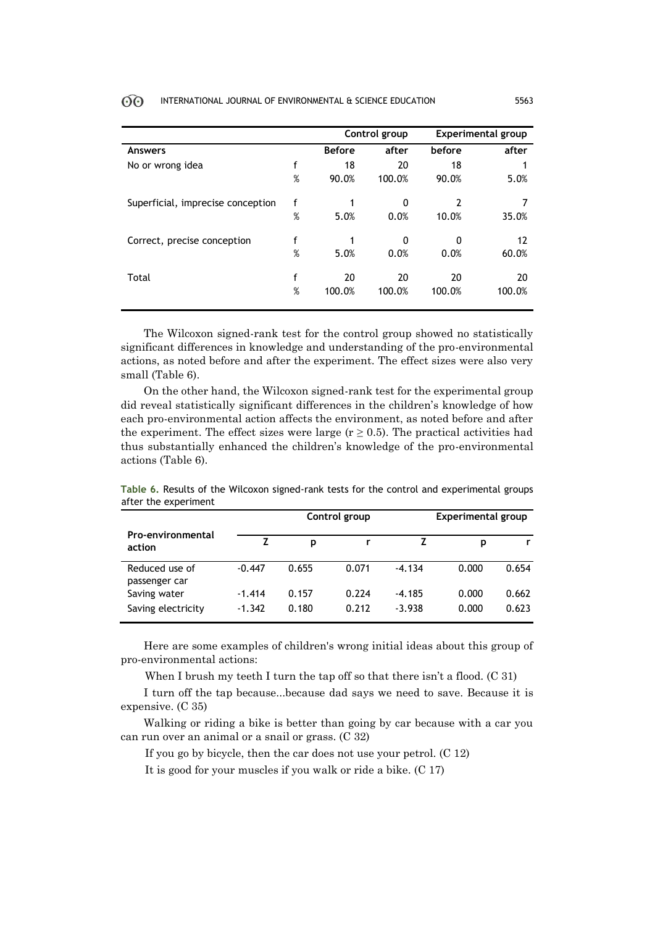|                                   |   |               | Control group |        | <b>Experimental group</b> |  |
|-----------------------------------|---|---------------|---------------|--------|---------------------------|--|
| Answers                           |   | <b>Before</b> | after         | before | after                     |  |
| No or wrong idea                  | f | 18            | 20            | 18     |                           |  |
|                                   | % | 90.0%         | 100.0%        | 90.0%  | 5.0%                      |  |
| Superficial, imprecise conception | f |               | 0             | 2      | 7                         |  |
|                                   | % | 5.0%          | 0.0%          | 10.0%  | 35.0%                     |  |
| Correct, precise conception       | f | 1             | 0             | 0      | 12                        |  |
|                                   | % | 5.0%          | 0.0%          | 0.0%   | 60.0%                     |  |
| Total                             | f | 20            | 20            | 20     | 20                        |  |
|                                   | % | 100.0%        | 100.0%        | 100.0% | 100.0%                    |  |
|                                   |   |               |               |        |                           |  |

The Wilcoxon signed-rank test for the control group showed no statistically significant differences in knowledge and understanding of the pro-environmental actions, as noted before and after the experiment. The effect sizes were also very small (Table 6).

On the other hand, the Wilcoxon signed-rank test for the experimental group did reveal statistically significant differences in the children's knowledge of how each pro-environmental action affects the environment, as noted before and after the experiment. The effect sizes were large  $(r \geq 0.5)$ . The practical activities had thus substantially enhanced the children's knowledge of the pro-environmental actions (Table 6).

|                                    |          | Control group |       | Experimental group |       |       |  |
|------------------------------------|----------|---------------|-------|--------------------|-------|-------|--|
| <b>Pro-environmental</b><br>action |          | p             |       |                    | р     |       |  |
| Reduced use of<br>passenger car    | $-0.447$ | 0.655         | 0.071 | $-4.134$           | 0.000 | 0.654 |  |
| Saving water                       | $-1.414$ | 0.157         | 0.224 | $-4.185$           | 0.000 | 0.662 |  |
| Saving electricity                 | $-1.342$ | 0.180         | 0.212 | $-3.938$           | 0.000 | 0.623 |  |

**Table 6.** Results of the Wilcoxon signed-rank tests for the control and experimental groups after the experiment

Here are some examples of children's wrong initial ideas about this group of pro-environmental actions:

When I brush my teeth I turn the tap off so that there isn't a flood. (C 31)

I turn off the tap because...because dad says we need to save. Because it is expensive. (C 35)

Walking or riding a bike is better than going by car because with a car you can run over an animal or a snail or grass. (C 32)

If you go by bicycle, then the car does not use your petrol. (C 12)

It is good for your muscles if you walk or ride a bike. (C 17)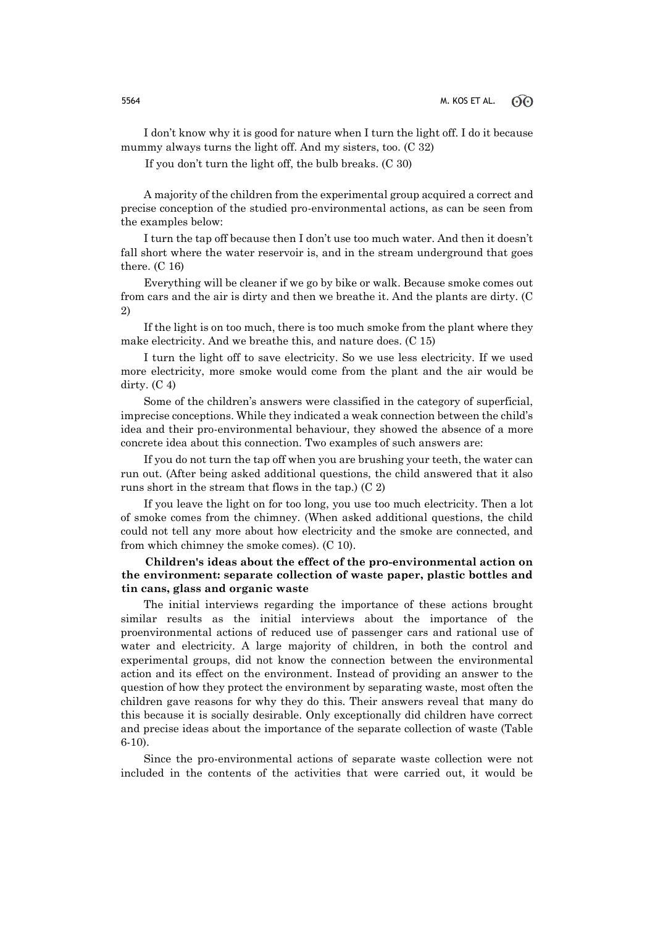I don't know why it is good for nature when I turn the light off. I do it because mummy always turns the light off. And my sisters, too. (C 32)

If you don't turn the light off, the bulb breaks. (C 30)

A majority of the children from the experimental group acquired a correct and precise conception of the studied pro-environmental actions, as can be seen from the examples below:

I turn the tap off because then I don't use too much water. And then it doesn't fall short where the water reservoir is, and in the stream underground that goes there. (C 16)

Everything will be cleaner if we go by bike or walk. Because smoke comes out from cars and the air is dirty and then we breathe it. And the plants are dirty. (C 2)

If the light is on too much, there is too much smoke from the plant where they make electricity. And we breathe this, and nature does. (C 15)

I turn the light off to save electricity. So we use less electricity. If we used more electricity, more smoke would come from the plant and the air would be dirty.  $(C<sub>4</sub>)$ 

Some of the children's answers were classified in the category of superficial, imprecise conceptions. While they indicated a weak connection between the child's idea and their pro-environmental behaviour, they showed the absence of a more concrete idea about this connection. Two examples of such answers are:

If you do not turn the tap off when you are brushing your teeth, the water can run out. (After being asked additional questions, the child answered that it also runs short in the stream that flows in the tap.) (C 2)

If you leave the light on for too long, you use too much electricity. Then a lot of smoke comes from the chimney. (When asked additional questions, the child could not tell any more about how electricity and the smoke are connected, and from which chimney the smoke comes). (C 10).

### **Children's ideas about the effect of the pro-environmental action on the environment: separate collection of waste paper, plastic bottles and tin cans, glass and organic waste**

The initial interviews regarding the importance of these actions brought similar results as the initial interviews about the importance of the proenvironmental actions of reduced use of passenger cars and rational use of water and electricity. A large majority of children, in both the control and experimental groups, did not know the connection between the environmental action and its effect on the environment. Instead of providing an answer to the question of how they protect the environment by separating waste, most often the children gave reasons for why they do this. Their answers reveal that many do this because it is socially desirable. Only exceptionally did children have correct and precise ideas about the importance of the separate collection of waste (Table 6-10).

Since the pro-environmental actions of separate waste collection were not included in the contents of the activities that were carried out, it would be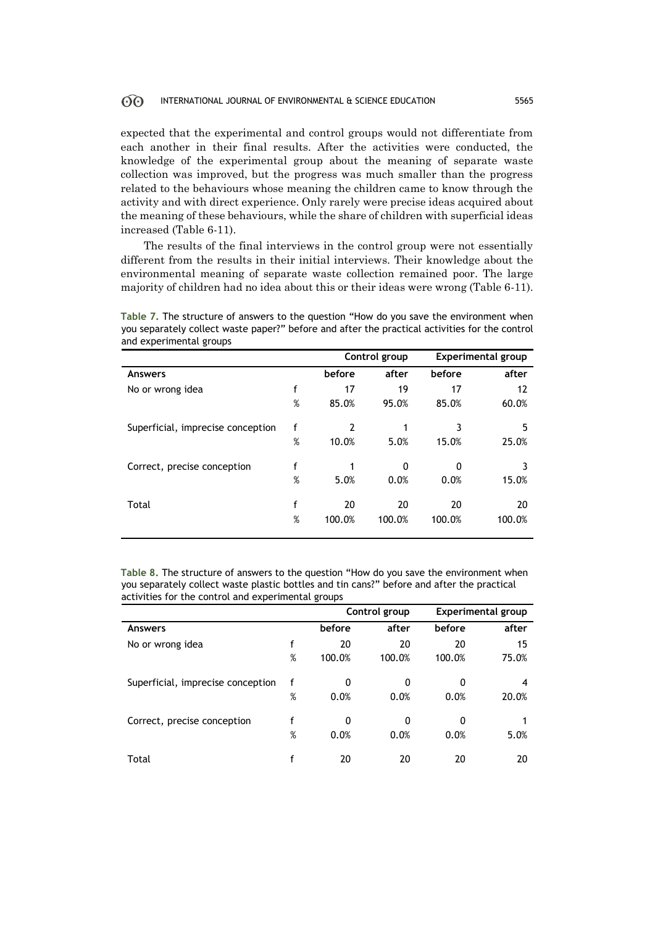expected that the experimental and control groups would not differentiate from each another in their final results. After the activities were conducted, the knowledge of the experimental group about the meaning of separate waste collection was improved, but the progress was much smaller than the progress related to the behaviours whose meaning the children came to know through the activity and with direct experience. Only rarely were precise ideas acquired about the meaning of these behaviours, while the share of children with superficial ideas increased (Table 6-11).

The results of the final interviews in the control group were not essentially different from the results in their initial interviews. Their knowledge about the environmental meaning of separate waste collection remained poor. The large majority of children had no idea about this or their ideas were wrong (Table 6-11).

**Table 7.** The structure of answers to the question "How do you save the environment when you separately collect waste paper?" before and after the practical activities for the control and experimental groups

|                                   |   |        | Control group |          | <b>Experimental group</b> |
|-----------------------------------|---|--------|---------------|----------|---------------------------|
| <b>Answers</b>                    |   | before | after         | before   | after                     |
| No or wrong idea                  | f | 17     | 19            | 17       | 12                        |
|                                   | % | 85.0%  | 95.0%         | 85.0%    | 60.0%                     |
| Superficial, imprecise conception | f | 2      |               | 3        | 5                         |
|                                   | % | 10.0%  | 5.0%          | 15.0%    | 25.0%                     |
| Correct, precise conception       | f |        | 0             | $\Omega$ | 3                         |
|                                   | % | 5.0%   | 0.0%          | 0.0%     | 15.0%                     |
| Total                             | f | 20     | 20            | 20       | 20                        |
|                                   | % | 100.0% | 100.0%        | 100.0%   | 100.0%                    |

**Table 8.** The structure of answers to the question "How do you save the environment when you separately collect waste plastic bottles and tin cans?" before and after the practical activities for the control and experimental groups

|                                   |   | Control group |        | <b>Experimental group</b> |       |
|-----------------------------------|---|---------------|--------|---------------------------|-------|
| <b>Answers</b>                    |   | before        | after  | before                    | after |
| No or wrong idea                  | f | 20            | 20     | 20                        | 15    |
|                                   | % | 100.0%        | 100.0% | 100.0%                    | 75.0% |
| Superficial, imprecise conception |   | 0             | 0      | 0                         | 4     |
|                                   | % | 0.0%          | 0.0%   | 0.0%                      | 20.0% |
| Correct, precise conception       | f | 0             | 0      | 0                         |       |
|                                   | % | 0.0%          | 0.0%   | 0.0%                      | 5.0%  |
| Total                             |   | 20            | 20     | 20                        | 20    |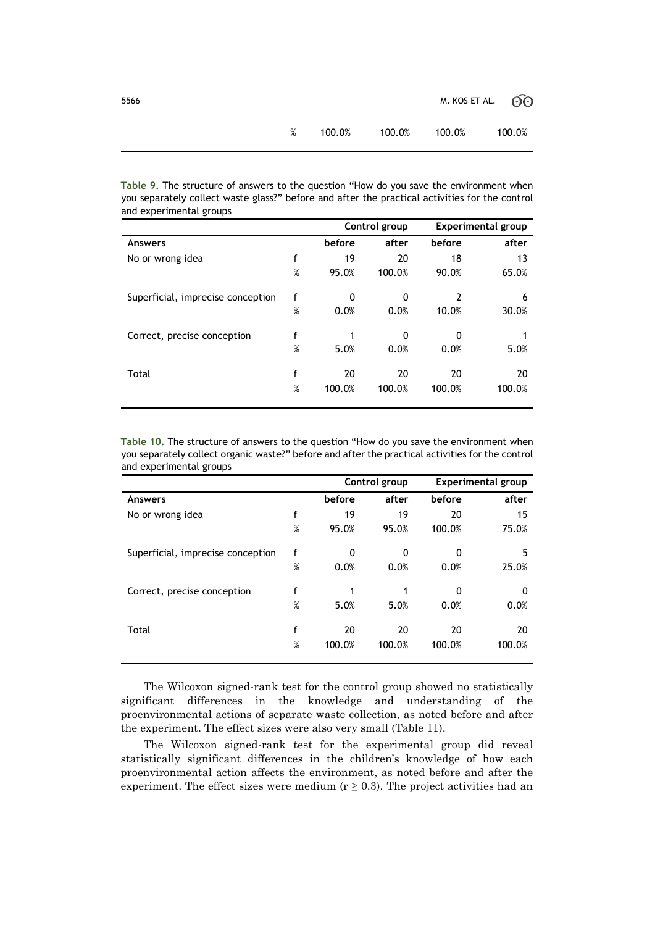5566 M. KOS ET AL. 60

| 100.0% | 100.0% | 100.0% | 100.0% |
|--------|--------|--------|--------|
|        |        |        |        |

**Table 9.** The structure of answers to the question "How do you save the environment when you separately collect waste glass?" before and after the practical activities for the control and experimental groups

|                                   |   | Control group |        | <b>Experimental group</b> |        |
|-----------------------------------|---|---------------|--------|---------------------------|--------|
| <b>Answers</b>                    |   | before        | after  | before                    | after  |
| No or wrong idea                  | f | 19            | 20     | 18                        | 13     |
|                                   | % | 95.0%         | 100.0% | 90.0%                     | 65.0%  |
| Superficial, imprecise conception | f | 0             | 0      | $\overline{2}$            | 6      |
|                                   | % | 0.0%          | 0.0%   | 10.0%                     | 30.0%  |
| Correct, precise conception       | f | 1             | 0      | 0                         |        |
|                                   | % | 5.0%          | 0.0%   | 0.0%                      | 5.0%   |
| Total                             | f | 20            | 20     | 20                        | 20     |
|                                   | % | 100.0%        | 100.0% | 100.0%                    | 100.0% |

**Table 10.** The structure of answers to the question "How do you save the environment when you separately collect organic waste?" before and after the practical activities for the control and experimental groups

|                                   |   | Control group |          | <b>Experimental group</b> |        |
|-----------------------------------|---|---------------|----------|---------------------------|--------|
| <b>Answers</b>                    |   | before        | after    | before                    | after  |
| No or wrong idea                  | f | 19            | 19       | 20                        | 15     |
|                                   | % | 95.0%         | 95.0%    | 100.0%                    | 75.0%  |
| Superficial, imprecise conception | f | 0             | $\Omega$ | $\Omega$                  | 5      |
|                                   | % | 0.0%          | 0.0%     | 0.0%                      | 25.0%  |
| Correct, precise conception       | f | 1             |          | $\Omega$                  | 0      |
|                                   | % | 5.0%          | 5.0%     | 0.0%                      | 0.0%   |
| Total                             | f | 20            | 20       | 20                        | 20     |
|                                   | % | 100.0%        | 100.0%   | 100.0%                    | 100.0% |

The Wilcoxon signed-rank test for the control group showed no statistically significant differences in the knowledge and understanding of the proenvironmental actions of separate waste collection, as noted before and after the experiment. The effect sizes were also very small (Table 11).

The Wilcoxon signed-rank test for the experimental group did reveal statistically significant differences in the children's knowledge of how each proenvironmental action affects the environment, as noted before and after the experiment. The effect sizes were medium ( $r \ge 0.3$ ). The project activities had an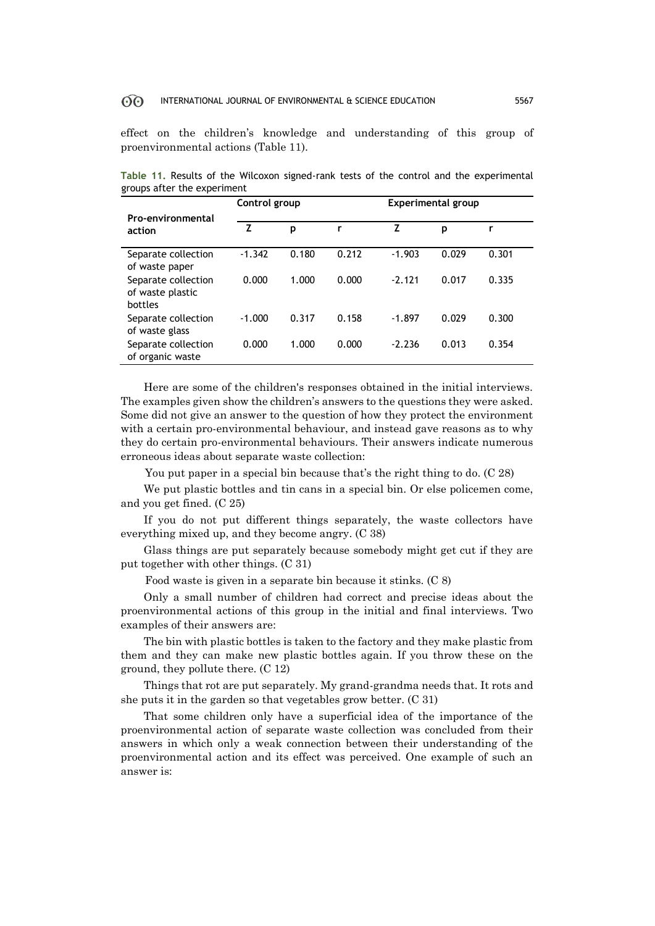effect on the children's knowledge and understanding of this group of proenvironmental actions (Table 11).

|                                                    | Control group |       |       | <b>Experimental group</b> |       |       |  |
|----------------------------------------------------|---------------|-------|-------|---------------------------|-------|-------|--|
| Pro-environmental<br>action                        | Z             | p     | r     | z                         | p     |       |  |
| Separate collection<br>of waste paper              | $-1.342$      | 0.180 | 0.212 | $-1.903$                  | 0.029 | 0.301 |  |
| Separate collection<br>of waste plastic<br>bottles | 0.000         | 1.000 | 0.000 | $-2.121$                  | 0.017 | 0.335 |  |
| Separate collection<br>of waste glass              | $-1.000$      | 0.317 | 0.158 | $-1.897$                  | 0.029 | 0.300 |  |
| Separate collection<br>of organic waste            | 0.000         | 1.000 | 0.000 | $-2.236$                  | 0.013 | 0.354 |  |

**Table 11.** Results of the Wilcoxon signed-rank tests of the control and the experimental groups after the experiment

Here are some of the children's responses obtained in the initial interviews. The examples given show the children's answers to the questions they were asked. Some did not give an answer to the question of how they protect the environment with a certain pro-environmental behaviour, and instead gave reasons as to why they do certain pro-environmental behaviours. Their answers indicate numerous erroneous ideas about separate waste collection:

You put paper in a special bin because that's the right thing to do. (C 28)

We put plastic bottles and tin cans in a special bin. Or else policemen come, and you get fined. (C 25)

If you do not put different things separately, the waste collectors have everything mixed up, and they become angry. (C 38)

Glass things are put separately because somebody might get cut if they are put together with other things. (C 31)

Food waste is given in a separate bin because it stinks. (C 8)

Only a small number of children had correct and precise ideas about the proenvironmental actions of this group in the initial and final interviews. Two examples of their answers are:

The bin with plastic bottles is taken to the factory and they make plastic from them and they can make new plastic bottles again. If you throw these on the ground, they pollute there. (C 12)

Things that rot are put separately. My grand-grandma needs that. It rots and she puts it in the garden so that vegetables grow better. (C 31)

That some children only have a superficial idea of the importance of the proenvironmental action of separate waste collection was concluded from their answers in which only a weak connection between their understanding of the proenvironmental action and its effect was perceived. One example of such an answer is: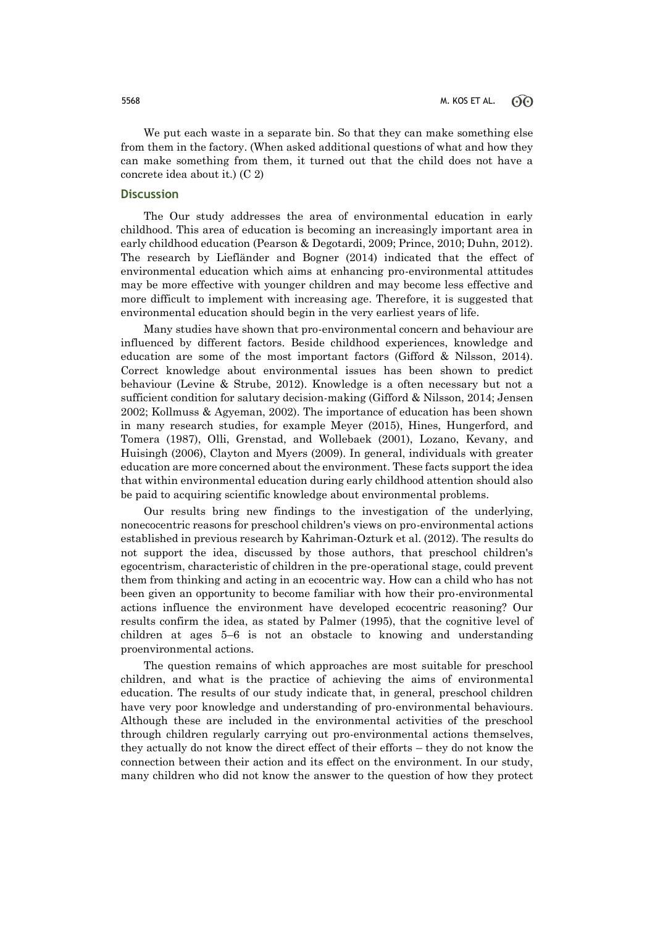We put each waste in a separate bin. So that they can make something else from them in the factory. (When asked additional questions of what and how they can make something from them, it turned out that the child does not have a concrete idea about it.) (C 2)

### **Discussion**

The Our study addresses the area of environmental education in early childhood. This area of education is becoming an increasingly important area in early childhood education (Pearson & Degotardi, 2009; Prince, 2010; Duhn, 2012). The research by Liefländer and Bogner (2014) indicated that the effect of environmental education which aims at enhancing pro-environmental attitudes may be more effective with younger children and may become less effective and more difficult to implement with increasing age. Therefore, it is suggested that environmental education should begin in the very earliest years of life.

Many studies have shown that pro-environmental concern and behaviour are influenced by different factors. Beside childhood experiences, knowledge and education are some of the most important factors (Gifford & Nilsson, 2014). Correct knowledge about environmental issues has been shown to predict behaviour (Levine & Strube, 2012). Knowledge is a often necessary but not a sufficient condition for salutary decision-making (Gifford & Nilsson, 2014; Jensen 2002; Kollmuss & Agyeman, 2002). The importance of education has been shown in many research studies, for example Meyer (2015), Hines, Hungerford, and Tomera (1987), Olli, Grenstad, and Wollebaek (2001), Lozano, Kevany, and Huisingh (2006), Clayton and Myers (2009). In general, individuals with greater education are more concerned about the environment. These facts support the idea that within environmental education during early childhood attention should also be paid to acquiring scientific knowledge about environmental problems.

Our results bring new findings to the investigation of the underlying, nonecocentric reasons for preschool children's views on pro-environmental actions established in previous research by Kahriman-Ozturk et al. (2012). The results do not support the idea, discussed by those authors, that preschool children's egocentrism, characteristic of children in the pre-operational stage, could prevent them from thinking and acting in an ecocentric way. How can a child who has not been given an opportunity to become familiar with how their pro-environmental actions influence the environment have developed ecocentric reasoning? Our results confirm the idea, as stated by Palmer (1995), that the cognitive level of children at ages 5–6 is not an obstacle to knowing and understanding proenvironmental actions.

The question remains of which approaches are most suitable for preschool children, and what is the practice of achieving the aims of environmental education. The results of our study indicate that, in general, preschool children have very poor knowledge and understanding of pro-environmental behaviours. Although these are included in the environmental activities of the preschool through children regularly carrying out pro-environmental actions themselves, they actually do not know the direct effect of their efforts – they do not know the connection between their action and its effect on the environment. In our study, many children who did not know the answer to the question of how they protect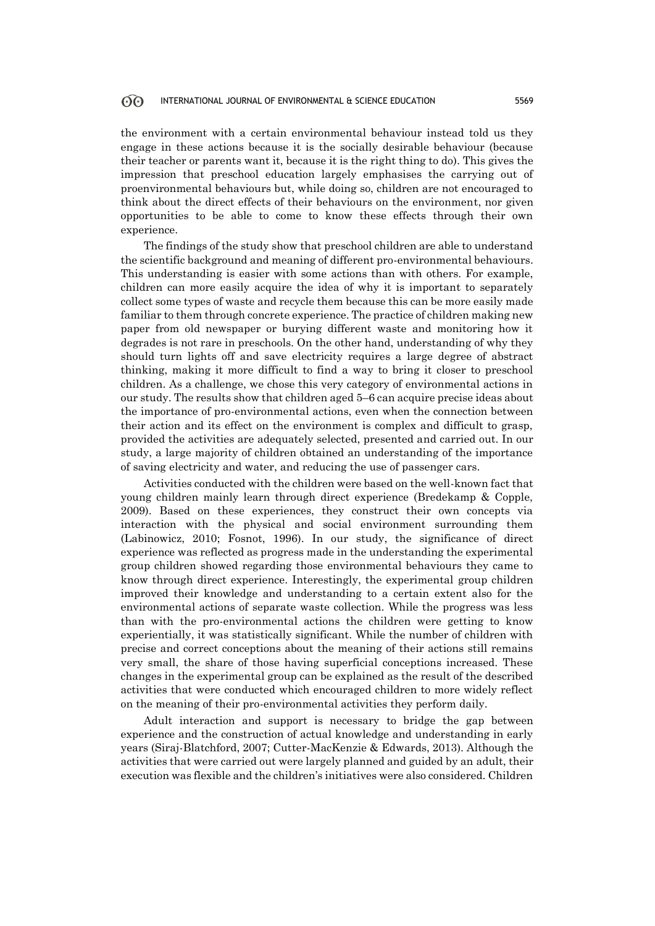the environment with a certain environmental behaviour instead told us they engage in these actions because it is the socially desirable behaviour (because their teacher or parents want it, because it is the right thing to do). This gives the impression that preschool education largely emphasises the carrying out of proenvironmental behaviours but, while doing so, children are not encouraged to think about the direct effects of their behaviours on the environment, nor given opportunities to be able to come to know these effects through their own experience.

The findings of the study show that preschool children are able to understand the scientific background and meaning of different pro-environmental behaviours. This understanding is easier with some actions than with others. For example, children can more easily acquire the idea of why it is important to separately collect some types of waste and recycle them because this can be more easily made familiar to them through concrete experience. The practice of children making new paper from old newspaper or burying different waste and monitoring how it degrades is not rare in preschools. On the other hand, understanding of why they should turn lights off and save electricity requires a large degree of abstract thinking, making it more difficult to find a way to bring it closer to preschool children. As a challenge, we chose this very category of environmental actions in our study. The results show that children aged 5–6 can acquire precise ideas about the importance of pro-environmental actions, even when the connection between their action and its effect on the environment is complex and difficult to grasp, provided the activities are adequately selected, presented and carried out. In our study, a large majority of children obtained an understanding of the importance of saving electricity and water, and reducing the use of passenger cars.

Activities conducted with the children were based on the well-known fact that young children mainly learn through direct experience (Bredekamp & Copple, 2009). Based on these experiences, they construct their own concepts via interaction with the physical and social environment surrounding them (Labinowicz, 2010; Fosnot, 1996). In our study, the significance of direct experience was reflected as progress made in the understanding the experimental group children showed regarding those environmental behaviours they came to know through direct experience. Interestingly, the experimental group children improved their knowledge and understanding to a certain extent also for the environmental actions of separate waste collection. While the progress was less than with the pro-environmental actions the children were getting to know experientially, it was statistically significant. While the number of children with precise and correct conceptions about the meaning of their actions still remains very small, the share of those having superficial conceptions increased. These changes in the experimental group can be explained as the result of the described activities that were conducted which encouraged children to more widely reflect on the meaning of their pro-environmental activities they perform daily.

Adult interaction and support is necessary to bridge the gap between experience and the construction of actual knowledge and understanding in early years (Siraj-Blatchford, 2007; Cutter-MacKenzie & Edwards, 2013). Although the activities that were carried out were largely planned and guided by an adult, their execution was flexible and the children's initiatives were also considered. Children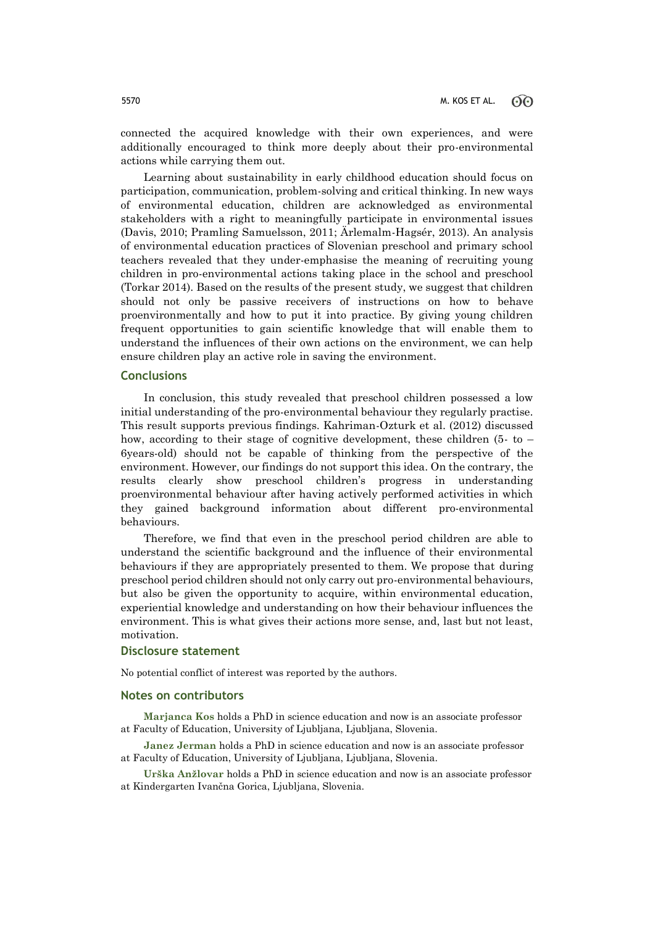connected the acquired knowledge with their own experiences, and were additionally encouraged to think more deeply about their pro-environmental actions while carrying them out.

Learning about sustainability in early childhood education should focus on participation, communication, problem-solving and critical thinking. In new ways of environmental education, children are acknowledged as environmental stakeholders with a right to meaningfully participate in environmental issues (Davis, 2010; Pramling Samuelsson, 2011; Ärlemalm-Hagsér, 2013). An analysis of environmental education practices of Slovenian preschool and primary school teachers revealed that they under-emphasise the meaning of recruiting young children in pro-environmental actions taking place in the school and preschool (Torkar 2014). Based on the results of the present study, we suggest that children should not only be passive receivers of instructions on how to behave proenvironmentally and how to put it into practice. By giving young children frequent opportunities to gain scientific knowledge that will enable them to understand the influences of their own actions on the environment, we can help ensure children play an active role in saving the environment.

### **Conclusions**

In conclusion, this study revealed that preschool children possessed a low initial understanding of the pro-environmental behaviour they regularly practise. This result supports previous findings. Kahriman-Ozturk et al. (2012) discussed how, according to their stage of cognitive development, these children (5- to  $-$ 6years-old) should not be capable of thinking from the perspective of the environment. However, our findings do not support this idea. On the contrary, the results clearly show preschool children's progress in understanding proenvironmental behaviour after having actively performed activities in which they gained background information about different pro-environmental behaviours.

Therefore, we find that even in the preschool period children are able to understand the scientific background and the influence of their environmental behaviours if they are appropriately presented to them. We propose that during preschool period children should not only carry out pro-environmental behaviours, but also be given the opportunity to acquire, within environmental education, experiential knowledge and understanding on how their behaviour influences the environment. This is what gives their actions more sense, and, last but not least, motivation.

### **Disclosure statement**

No potential conflict of interest was reported by the authors.

### **Notes on contributors**

**Marjanca Kos** holds a PhD in science education and now is an associate professor at Faculty of Education, University of Ljubljana, Ljubljana, Slovenia.

**Janez Jerman** holds a PhD in science education and now is an associate professor at Faculty of Education, University of Ljubljana, Ljubljana, Slovenia.

**Urška Anžlovar** holds a PhD in science education and now is an associate professor at Kindergarten Ivančna Gorica, Ljubljana, Slovenia.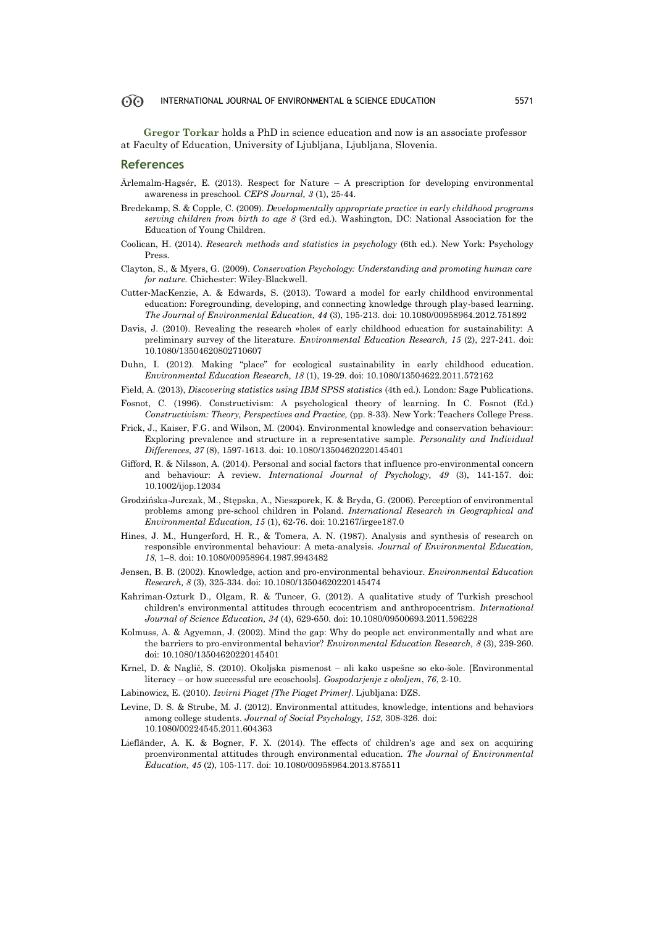**Gregor Torkar** holds a PhD in science education and now is an associate professor at Faculty of Education, University of Ljubljana, Ljubljana, Slovenia.

### **References**

- Ärlemalm-Hagsér, E. (2013). Respect for Nature A prescription for developing environmental awareness in preschool. *CEPS Journal, 3* (1), 25-44.
- Bredekamp, S. & Copple, C. (2009). *Developmentally appropriate practice in early childhood programs serving children from birth to age 8* (3rd ed.)*.* Washington, DC: National Association for the Education of Young Children.
- Coolican, H. (2014). *Research methods and statistics in psychology* (6th ed.)*.* New York: Psychology Press.
- Clayton, S., & Myers, G. (2009). *Conservation Psychology: Understanding and promoting human care for nature.* Chichester: Wiley-Blackwell.
- Cutter-MacKenzie, A. & Edwards, S. (2013). Toward a model for early childhood environmental education: Foregrounding, developing, and connecting knowledge through play-based learning. *The Journal of Environmental Education, 44* (3), 195-213. doi: 10.1080/00958964.2012.751892
- Davis, J. (2010). Revealing the research »hole« of early childhood education for sustainability: A preliminary survey of the literature. *Environmental Education Research, 15* (2), 227-241. doi: 10.1080/13504620802710607
- Duhn, I. (2012). Making "place" for ecological sustainability in early childhood education. *Environmental Education Research, 18* (1), 19-29. doi: 10.1080/13504622.2011.572162
- Field, A. (2013), *Discovering statistics using IBM SPSS statistics* (4th ed.)*.* London: Sage Publications.
- Fosnot, C. (1996). Constructivism: A psychological theory of learning. In C. Fosnot (Ed.) *Constructivism: Theory, Perspectives and Practice,* (pp. 8-33). New York: Teachers College Press.
- Frick, J., Kaiser, F.G. and Wilson, M. (2004). Environmental knowledge and conservation behaviour: Exploring prevalence and structure in a representative sample. *Personality and Individual Differences, 37* (8), 1597-1613. doi: 10.1080/13504620220145401
- Gifford, R. & Nilsson, A. (2014). Personal and social factors that influence pro-environmental concern and behaviour: A review. *International Journal of Psychology, 49* (3), 141-157. doi: 10.1002/ijop.12034
- Grodzińska-Jurczak, M., Stępska, A., Nieszporek, K. & Bryda, G. (2006). Perception of environmental problems among pre-school children in Poland. *International Research in Geographical and Environmental Education, 15* (1), 62-76. doi: 10.2167/irgee187.0
- Hines, J. M., Hungerford, H. R., & Tomera, A. N. (1987). Analysis and synthesis of research on responsible environmental behaviour: A meta-analysis. *Journal of Environmental Education, 18*, 1–8. doi: 10.1080/00958964.1987.9943482
- Jensen, B. B. (2002). Knowledge, action and pro-environmental behaviour. *Environmental Education Research, 8* (3), 325-334. doi: 10.1080/13504620220145474
- Kahriman-Ozturk D., Olgam, R. & Tuncer, G. (2012). A qualitative study of Turkish preschool children's environmental attitudes through ecocentrism and anthropocentrism. *International Journal of Science Education, 34* (4), 629-650. doi: 10.1080/09500693.2011.596228
- Kolmuss, A. & Agyeman, J. (2002). Mind the gap: Why do people act environmentally and what are the barriers to pro-environmental behavior? *Environmental Education Research, 8* (3), 239-260. doi: 10.1080/13504620220145401
- Krnel, D. & Naglič, S. (2010). Okoljska pismenost ali kako uspešne so eko-šole. [Environmental literacy – or how successful are ecoschools]*. Gospodarjenje z okoljem*, *76*, 2-10.
- Labinowicz, E. (2010). *Izvirni Piaget [The Piaget Primer]*. Ljubljana: DZS.
- Levine, D. S. & Strube, M. J. (2012). Environmental attitudes, knowledge, intentions and behaviors among college students. *Journal of Social Psychology, 152*, 308-326. doi: 10.1080/00224545.2011.604363
- Liefländer, A. K. & Bogner, F. X. (2014). The effects of children's age and sex on acquiring proenvironmental attitudes through environmental education. *The Journal of Environmental Education, 45* (2), 105-117. doi: 10.1080/00958964.2013.875511